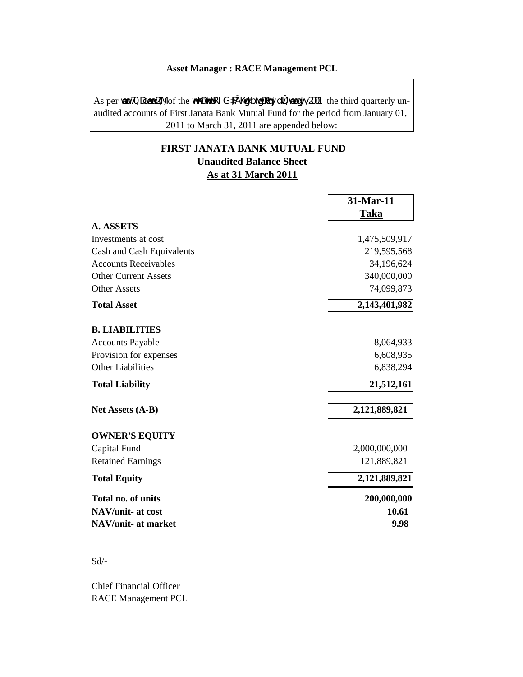#### **Asset Manager : RACE Management PCL**

As per wewn 70, Dcwewn 2(M) of the wmwKDwwiwUR I G·#Ä Kwgkb (wgDPäqvj dvŮ) wewagvjv, 2001, the third quarterly unaudited accounts of First Janata Bank Mutual Fund for the period from January 01, 2011 to March 31, 2011 are appended below:

# **FIRST JANATA BANK MUTUAL FUND Unaudited Balance Sheet As at 31 March 2011**

|                             | 31-Mar-11     |
|-----------------------------|---------------|
|                             | <b>Taka</b>   |
| <b>A. ASSETS</b>            |               |
| Investments at cost         | 1,475,509,917 |
| Cash and Cash Equivalents   | 219,595,568   |
| <b>Accounts Receivables</b> | 34,196,624    |
| <b>Other Current Assets</b> | 340,000,000   |
| <b>Other Assets</b>         | 74,099,873    |
| <b>Total Asset</b>          | 2,143,401,982 |
| <b>B. LIABILITIES</b>       |               |
| <b>Accounts Payable</b>     | 8,064,933     |
| Provision for expenses      | 6,608,935     |
| <b>Other Liabilities</b>    | 6,838,294     |
| <b>Total Liability</b>      | 21,512,161    |
| Net Assets (A-B)            | 2,121,889,821 |
| <b>OWNER'S EQUITY</b>       |               |
| Capital Fund                | 2,000,000,000 |
| <b>Retained Earnings</b>    | 121,889,821   |
| <b>Total Equity</b>         | 2,121,889,821 |
| <b>Total no. of units</b>   | 200,000,000   |
| NAV/unit- at cost           | 10.61         |
| NAV/unit- at market         | 9.98          |

### Sd/-

Chief Financial Officer RACE Management PCL